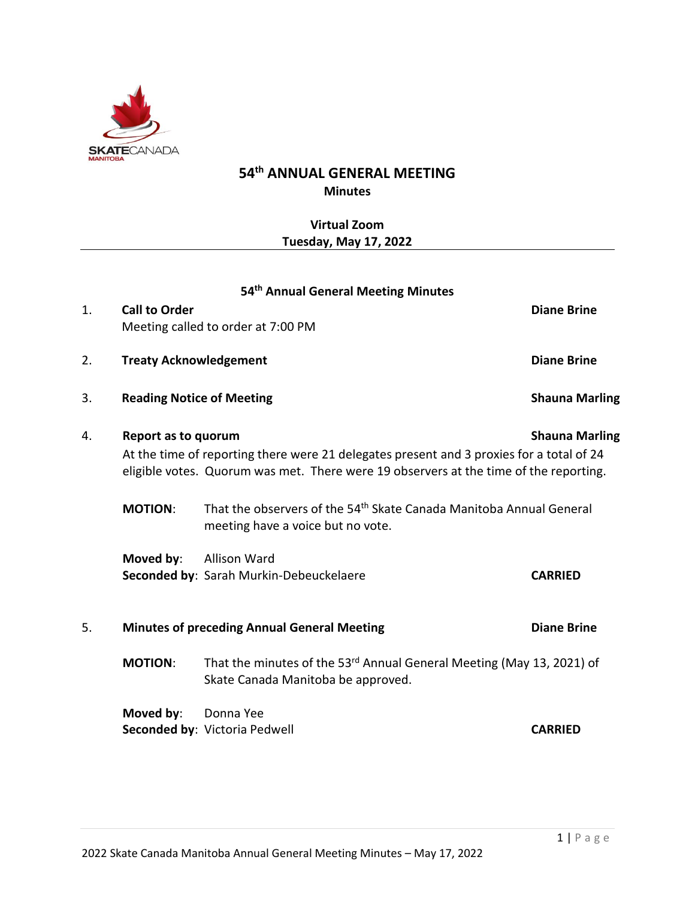

# **54 th ANNUAL GENERAL MEETING Minutes**

# **Virtual Zoom Tuesday, May 17, 2022**

|    |                                  | 54 <sup>th</sup> Annual General Meeting Minutes                                                                                                                                   |                       |
|----|----------------------------------|-----------------------------------------------------------------------------------------------------------------------------------------------------------------------------------|-----------------------|
| 1. | <b>Call to Order</b>             | Meeting called to order at 7:00 PM                                                                                                                                                | <b>Diane Brine</b>    |
| 2. | <b>Treaty Acknowledgement</b>    |                                                                                                                                                                                   | <b>Diane Brine</b>    |
| 3. | <b>Reading Notice of Meeting</b> |                                                                                                                                                                                   | <b>Shauna Marling</b> |
| 4. | Report as to quorum              | At the time of reporting there were 21 delegates present and 3 proxies for a total of 24<br>eligible votes. Quorum was met. There were 19 observers at the time of the reporting. | <b>Shauna Marling</b> |
|    | <b>MOTION:</b>                   | That the observers of the 54 <sup>th</sup> Skate Canada Manitoba Annual General<br>meeting have a voice but no vote.                                                              |                       |
|    | Moved by:                        | <b>Allison Ward</b><br>Seconded by: Sarah Murkin-Debeuckelaere                                                                                                                    | <b>CARRIED</b>        |
| 5. |                                  | <b>Minutes of preceding Annual General Meeting</b>                                                                                                                                | <b>Diane Brine</b>    |
|    | <b>MOTION:</b>                   | That the minutes of the 53rd Annual General Meeting (May 13, 2021) of<br>Skate Canada Manitoba be approved.                                                                       |                       |
|    | Moved by:                        | Donna Yee<br>Seconded by: Victoria Pedwell                                                                                                                                        | <b>CARRIED</b>        |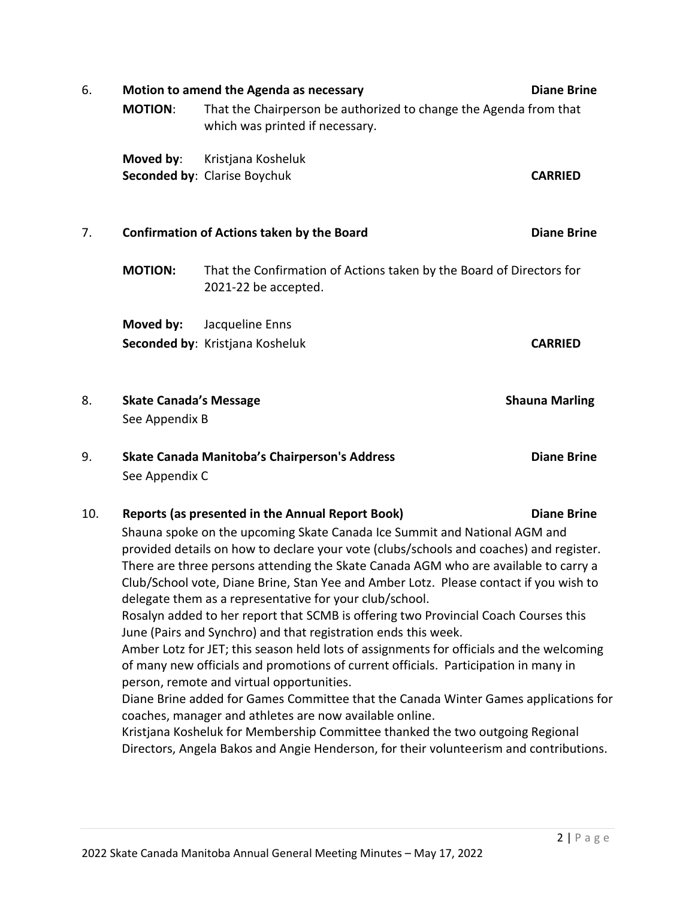| 6.                                                                                                                                                                                                                                      |                                                                                                                                                       | Motion to amend the Agenda as necessary                                                                                                                                                                                      | <b>Diane Brine</b>    |  |  |
|-----------------------------------------------------------------------------------------------------------------------------------------------------------------------------------------------------------------------------------------|-------------------------------------------------------------------------------------------------------------------------------------------------------|------------------------------------------------------------------------------------------------------------------------------------------------------------------------------------------------------------------------------|-----------------------|--|--|
|                                                                                                                                                                                                                                         | <b>MOTION:</b>                                                                                                                                        | That the Chairperson be authorized to change the Agenda from that<br>which was printed if necessary.                                                                                                                         |                       |  |  |
|                                                                                                                                                                                                                                         | Moved by:                                                                                                                                             | Kristjana Kosheluk                                                                                                                                                                                                           |                       |  |  |
|                                                                                                                                                                                                                                         |                                                                                                                                                       | Seconded by: Clarise Boychuk                                                                                                                                                                                                 | <b>CARRIED</b>        |  |  |
| 7.                                                                                                                                                                                                                                      |                                                                                                                                                       | <b>Confirmation of Actions taken by the Board</b>                                                                                                                                                                            | <b>Diane Brine</b>    |  |  |
|                                                                                                                                                                                                                                         | <b>MOTION:</b>                                                                                                                                        | That the Confirmation of Actions taken by the Board of Directors for<br>2021-22 be accepted.                                                                                                                                 |                       |  |  |
|                                                                                                                                                                                                                                         | Moved by:                                                                                                                                             | Jacqueline Enns                                                                                                                                                                                                              |                       |  |  |
|                                                                                                                                                                                                                                         |                                                                                                                                                       | Seconded by: Kristjana Kosheluk                                                                                                                                                                                              | <b>CARRIED</b>        |  |  |
| 8.                                                                                                                                                                                                                                      | <b>Skate Canada's Message</b>                                                                                                                         |                                                                                                                                                                                                                              | <b>Shauna Marling</b> |  |  |
|                                                                                                                                                                                                                                         | See Appendix B                                                                                                                                        |                                                                                                                                                                                                                              |                       |  |  |
| 9.                                                                                                                                                                                                                                      | See Appendix C                                                                                                                                        | Skate Canada Manitoba's Chairperson's Address                                                                                                                                                                                | <b>Diane Brine</b>    |  |  |
| 10.                                                                                                                                                                                                                                     |                                                                                                                                                       | Reports (as presented in the Annual Report Book)                                                                                                                                                                             | <b>Diane Brine</b>    |  |  |
|                                                                                                                                                                                                                                         |                                                                                                                                                       | Shauna spoke on the upcoming Skate Canada Ice Summit and National AGM and                                                                                                                                                    |                       |  |  |
|                                                                                                                                                                                                                                         |                                                                                                                                                       | provided details on how to declare your vote (clubs/schools and coaches) and register.                                                                                                                                       |                       |  |  |
| There are three persons attending the Skate Canada AGM who are available to carry a<br>Club/School vote, Diane Brine, Stan Yee and Amber Lotz. Please contact if you wish to<br>delegate them as a representative for your club/school. |                                                                                                                                                       |                                                                                                                                                                                                                              |                       |  |  |
|                                                                                                                                                                                                                                         | Rosalyn added to her report that SCMB is offering two Provincial Coach Courses this<br>June (Pairs and Synchro) and that registration ends this week. |                                                                                                                                                                                                                              |                       |  |  |
|                                                                                                                                                                                                                                         |                                                                                                                                                       | Amber Lotz for JET; this season held lots of assignments for officials and the welcoming<br>of many new officials and promotions of current officials. Participation in many in<br>person, remote and virtual opportunities. |                       |  |  |
|                                                                                                                                                                                                                                         |                                                                                                                                                       | Diane Brine added for Games Committee that the Canada Winter Games applications for<br>coaches, manager and athletes are now available online.                                                                               |                       |  |  |
|                                                                                                                                                                                                                                         |                                                                                                                                                       | Kristjana Kosheluk for Membership Committee thanked the two outgoing Regional<br>Directors, Angela Bakos and Angie Henderson, for their volunteerism and contributions.                                                      |                       |  |  |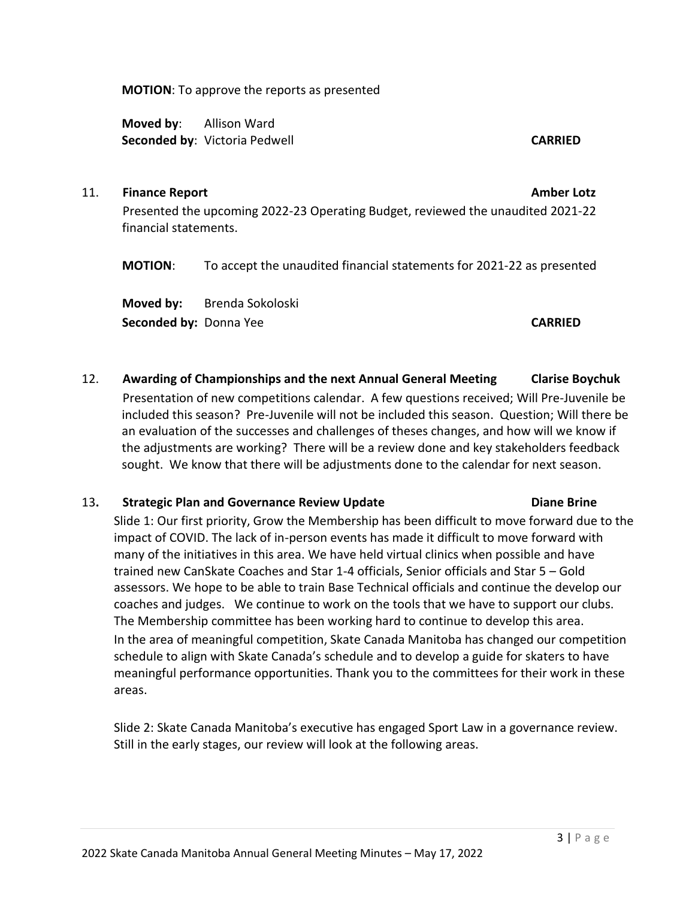**MOTION**: To approve the reports as presented

**Moved by**: Allison Ward **Seconded by**: Victoria Pedwell **CARRIED CARRIED** 

#### 11. **Finance Report Amber Lotz**

Presented the upcoming 2022-23 Operating Budget, reviewed the unaudited 2021-22 financial statements.

**MOTION**: To accept the unaudited financial statements for 2021-22 as presented

**Moved by:** Brenda Sokoloski **Seconded by:** Donna Yee **CARRIED**

12. **Awarding of Championships and the next Annual General Meeting Clarise Boychuk**

Presentation of new competitions calendar. A few questions received; Will Pre-Juvenile be included this season? Pre-Juvenile will not be included this season. Question; Will there be an evaluation of the successes and challenges of theses changes, and how will we know if the adjustments are working? There will be a review done and key stakeholders feedback sought. We know that there will be adjustments done to the calendar for next season.

### 13**. Strategic Plan and Governance Review Update Diane Brine**

Slide 1: Our first priority, Grow the Membership has been difficult to move forward due to the impact of COVID. The lack of in-person events has made it difficult to move forward with many of the initiatives in this area. We have held virtual clinics when possible and have trained new CanSkate Coaches and Star 1-4 officials, Senior officials and Star 5 – Gold assessors. We hope to be able to train Base Technical officials and continue the develop our coaches and judges. We continue to work on the tools that we have to support our clubs. The Membership committee has been working hard to continue to develop this area.

In the area of meaningful competition, Skate Canada Manitoba has changed our competition schedule to align with Skate Canada's schedule and to develop a guide for skaters to have meaningful performance opportunities. Thank you to the committees for their work in these areas.

Slide 2: Skate Canada Manitoba's executive has engaged Sport Law in a governance review. Still in the early stages, our review will look at the following areas.

#### $3 | P \text{ age}$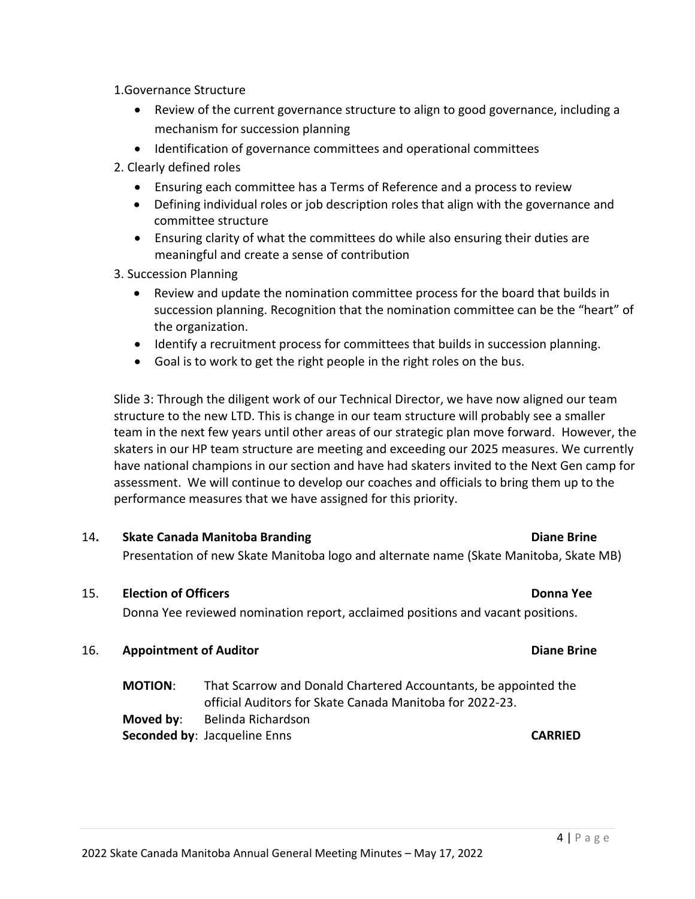1.Governance Structure

- Review of the current governance structure to align to good governance, including a mechanism for succession planning
- Identification of governance committees and operational committees
- 2. Clearly defined roles
	- Ensuring each committee has a Terms of Reference and a process to review
	- Defining individual roles or job description roles that align with the governance and committee structure
	- Ensuring clarity of what the committees do while also ensuring their duties are meaningful and create a sense of contribution

3. Succession Planning

- Review and update the nomination committee process for the board that builds in succession planning. Recognition that the nomination committee can be the "heart" of the organization.
- Identify a recruitment process for committees that builds in succession planning.
- Goal is to work to get the right people in the right roles on the bus.

Slide 3: Through the diligent work of our Technical Director, we have now aligned our team structure to the new LTD. This is change in our team structure will probably see a smaller team in the next few years until other areas of our strategic plan move forward. However, the skaters in our HP team structure are meeting and exceeding our 2025 measures. We currently have national champions in our section and have had skaters invited to the Next Gen camp for assessment. We will continue to develop our coaches and officials to bring them up to the performance measures that we have assigned for this priority.

# 14**. Skate Canada Manitoba Branding Diane Brine**

Presentation of new Skate Manitoba logo and alternate name (Skate Manitoba, Skate MB)

### 15. **Election of Officers Donna Yee**

Donna Yee reviewed nomination report, acclaimed positions and vacant positions.

#### 16. **Appointment of Auditor Diane Brine**

**MOTION**: That Scarrow and Donald Chartered Accountants, be appointed the official Auditors for Skate Canada Manitoba for 2022-23. **Moved by**: Belinda Richardson **Seconded by**: Jacqueline Enns **CARRIED**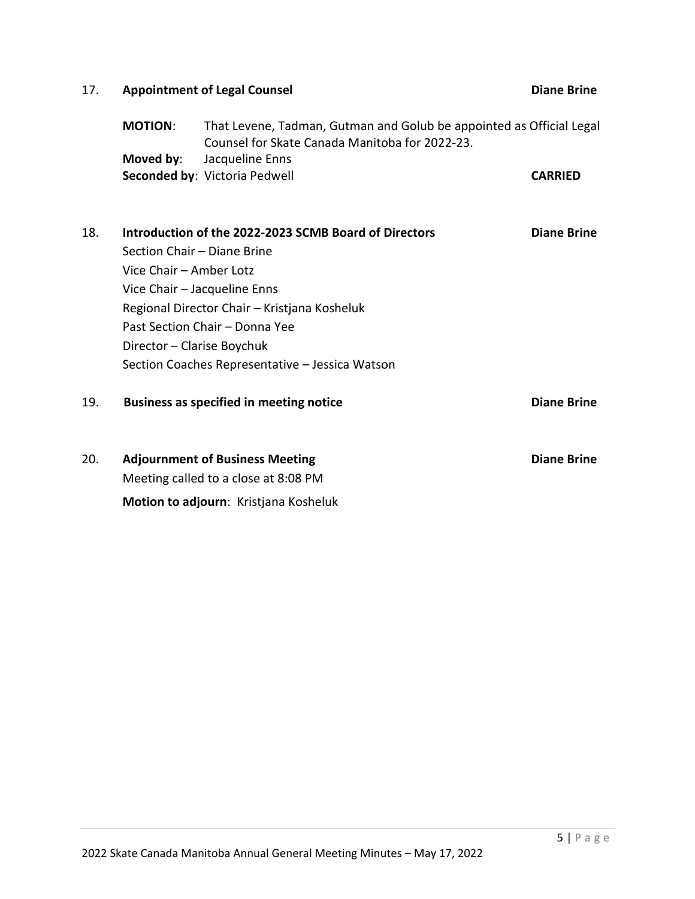| 17. | <b>Appointment of Legal Counsel</b> | <b>Diane Brine</b>                                                                                                     |                    |
|-----|-------------------------------------|------------------------------------------------------------------------------------------------------------------------|--------------------|
|     | <b>MOTION:</b>                      | That Levene, Tadman, Gutman and Golub be appointed as Official Legal<br>Counsel for Skate Canada Manitoba for 2022-23. |                    |
|     | Moved by:                           | Jacqueline Enns<br>Seconded by: Victoria Pedwell                                                                       | <b>CARRIED</b>     |
|     |                                     |                                                                                                                        |                    |
| 18. |                                     | Introduction of the 2022-2023 SCMB Board of Directors                                                                  | <b>Diane Brine</b> |
|     | Section Chair - Diane Brine         |                                                                                                                        |                    |
|     | Vice Chair - Amber Lotz             |                                                                                                                        |                    |
|     |                                     | Vice Chair - Jacqueline Enns                                                                                           |                    |
|     |                                     | Regional Director Chair - Kristjana Kosheluk                                                                           |                    |
|     |                                     | Past Section Chair - Donna Yee                                                                                         |                    |
|     | Director - Clarise Boychuk          |                                                                                                                        |                    |
|     |                                     | Section Coaches Representative - Jessica Watson                                                                        |                    |
| 19. |                                     | <b>Business as specified in meeting notice</b>                                                                         | <b>Diane Brine</b> |
| 20. |                                     | <b>Adjournment of Business Meeting</b>                                                                                 | <b>Diane Brine</b> |
|     |                                     | Meeting called to a close at 8:08 PM                                                                                   |                    |
|     |                                     | Motion to adjourn: Kristjana Kosheluk                                                                                  |                    |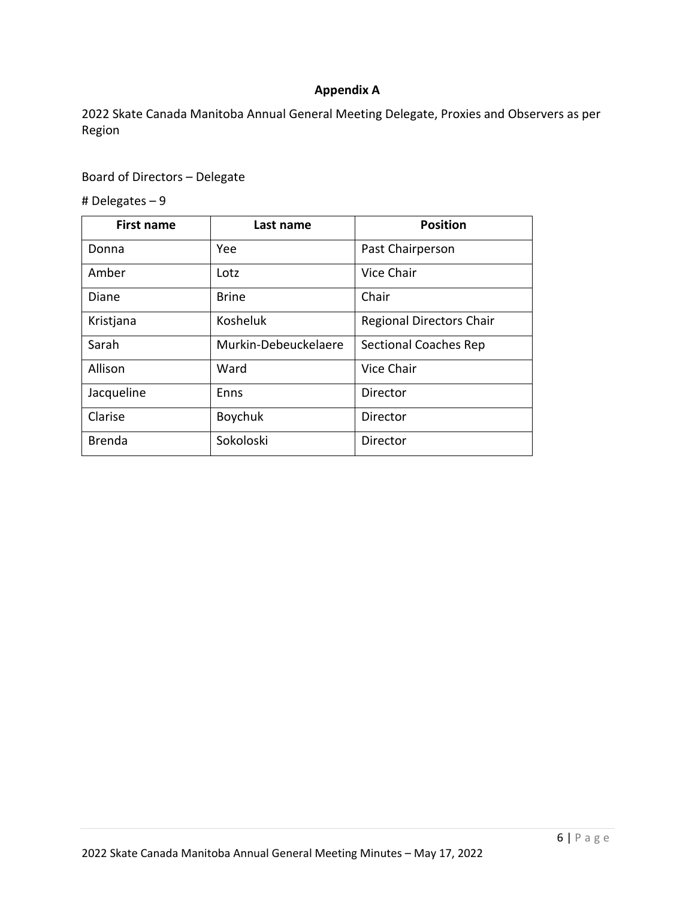# **Appendix A**

2022 Skate Canada Manitoba Annual General Meeting Delegate, Proxies and Observers as per Region

# Board of Directors – Delegate

# Delegates – 9

| <b>First name</b> | Last name            | <b>Position</b>                 |
|-------------------|----------------------|---------------------------------|
| Donna             | Yee                  | Past Chairperson                |
| Amber             | Lotz                 | Vice Chair                      |
| Diane             | <b>Brine</b>         | Chair                           |
| Kristjana         | Kosheluk             | <b>Regional Directors Chair</b> |
| Sarah             | Murkin-Debeuckelaere | <b>Sectional Coaches Rep</b>    |
| Allison           | Ward                 | Vice Chair                      |
| Jacqueline        | Enns                 | Director                        |
| Clarise           | Boychuk              | Director                        |
| <b>Brenda</b>     | Sokoloski            | Director                        |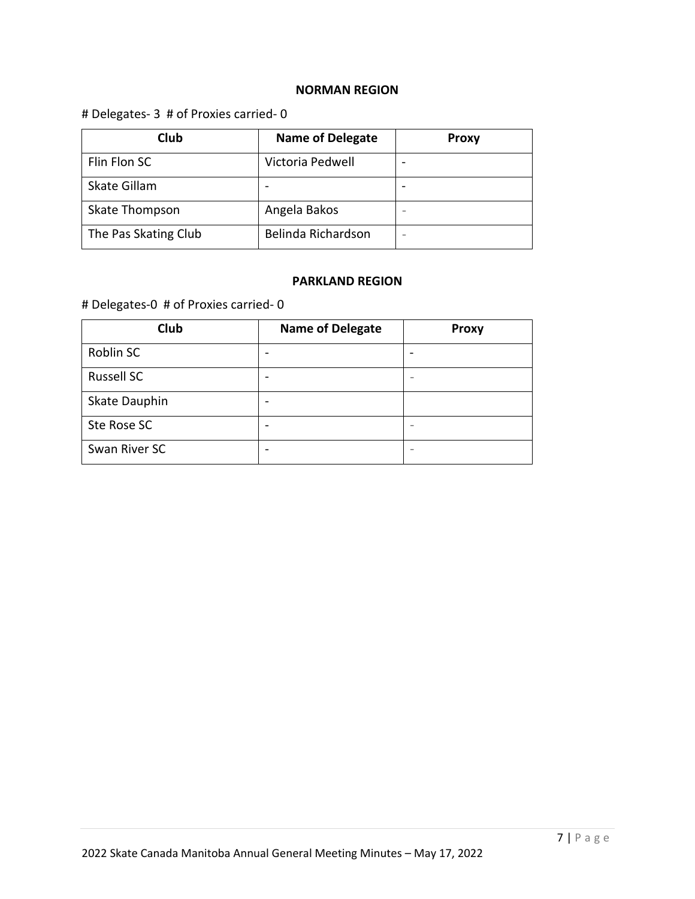## **NORMAN REGION**

# # Delegates- 3 # of Proxies carried- 0

| Club                 | <b>Name of Delegate</b> | <b>Proxy</b> |
|----------------------|-------------------------|--------------|
| Flin Flon SC         | Victoria Pedwell        |              |
| Skate Gillam         |                         |              |
| Skate Thompson       | Angela Bakos            |              |
| The Pas Skating Club | Belinda Richardson      |              |

### **PARKLAND REGION**

# Delegates-0 # of Proxies carried- 0

| Club              | <b>Name of Delegate</b> | <b>Proxy</b> |
|-------------------|-------------------------|--------------|
| Roblin SC         |                         |              |
| <b>Russell SC</b> |                         |              |
| Skate Dauphin     |                         |              |
| Ste Rose SC       |                         |              |
| Swan River SC     |                         |              |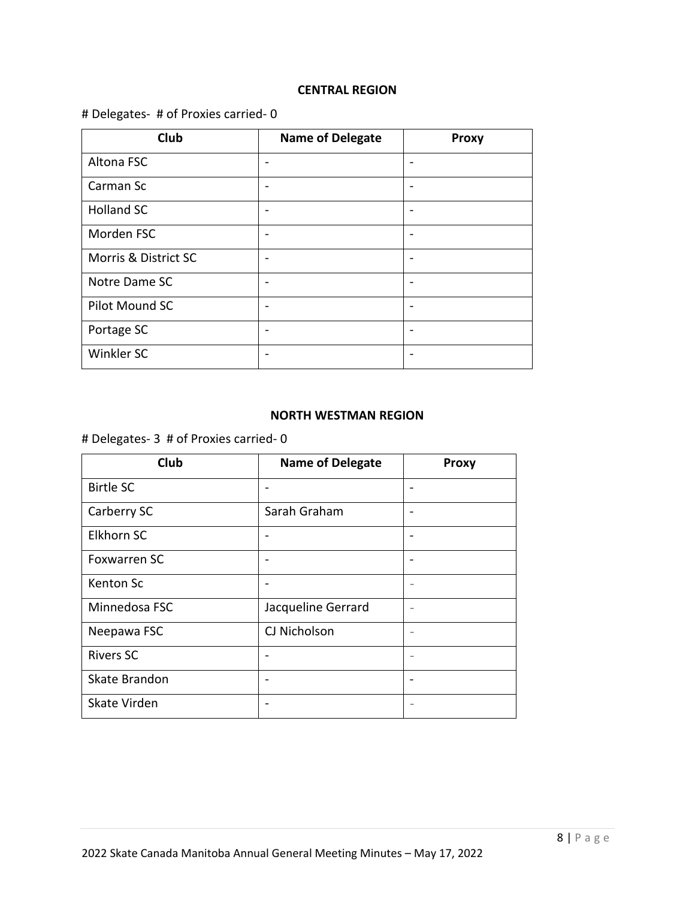#### **CENTRAL REGION**

# # Delegates- # of Proxies carried- 0

| Club                 | <b>Name of Delegate</b>  | <b>Proxy</b> |
|----------------------|--------------------------|--------------|
| Altona FSC           | $\overline{\phantom{0}}$ |              |
| Carman Sc            |                          |              |
| <b>Holland SC</b>    |                          |              |
| Morden FSC           |                          |              |
| Morris & District SC |                          |              |
| Notre Dame SC        |                          |              |
| Pilot Mound SC       |                          |              |
| Portage SC           |                          |              |
| Winkler SC           |                          |              |

#### **NORTH WESTMAN REGION**

# Delegates- 3 # of Proxies carried- 0

| Club                | <b>Name of Delegate</b> | <b>Proxy</b>             |
|---------------------|-------------------------|--------------------------|
| <b>Birtle SC</b>    |                         | ٠                        |
| Carberry SC         | Sarah Graham            | $\overline{\phantom{0}}$ |
| <b>Elkhorn SC</b>   |                         | $\overline{\phantom{0}}$ |
| <b>Foxwarren SC</b> |                         | $\overline{\phantom{0}}$ |
| Kenton Sc           |                         |                          |
| Minnedosa FSC       | Jacqueline Gerrard      |                          |
| Neepawa FSC         | CJ Nicholson            | $\overline{\phantom{0}}$ |
| <b>Rivers SC</b>    |                         |                          |
| Skate Brandon       |                         | $\overline{\phantom{0}}$ |
| Skate Virden        |                         |                          |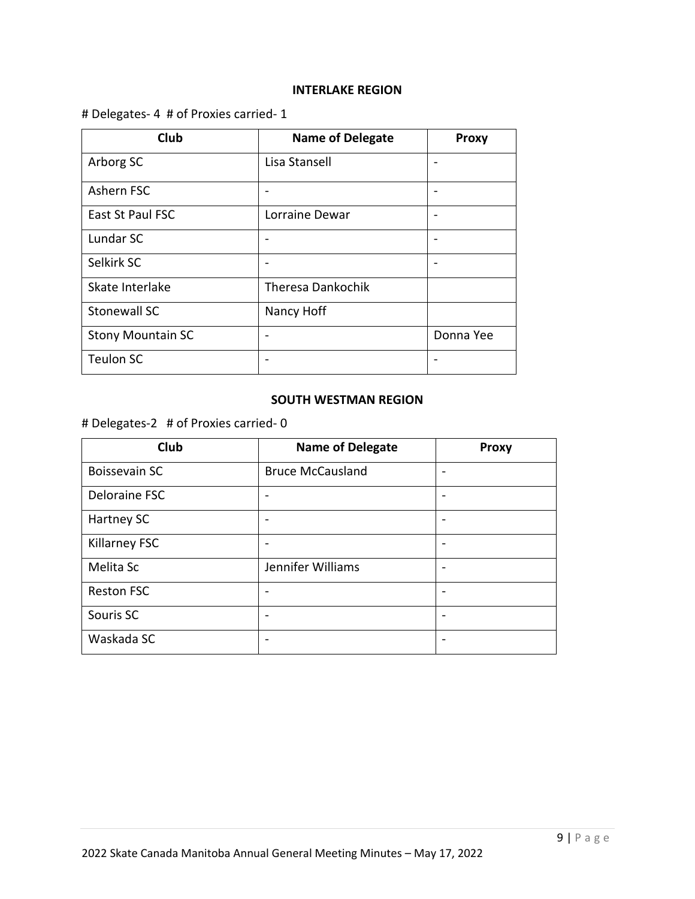#### **INTERLAKE REGION**

# # Delegates- 4 # of Proxies carried- 1

| Club                     | <b>Name of Delegate</b>  | <b>Proxy</b> |
|--------------------------|--------------------------|--------------|
| Arborg SC                | Lisa Stansell            |              |
| Ashern FSC               |                          |              |
| East St Paul FSC         | Lorraine Dewar           |              |
| Lundar SC                |                          |              |
| Selkirk SC               |                          |              |
| Skate Interlake          | <b>Theresa Dankochik</b> |              |
| Stonewall SC             | Nancy Hoff               |              |
| <b>Stony Mountain SC</b> |                          | Donna Yee    |
| <b>Teulon SC</b>         |                          |              |

#### **SOUTH WESTMAN REGION**

# # Delegates-2 # of Proxies carried- 0

| Club                 | <b>Name of Delegate</b> | <b>Proxy</b> |
|----------------------|-------------------------|--------------|
| <b>Boissevain SC</b> | <b>Bruce McCausland</b> |              |
| Deloraine FSC        |                         |              |
| Hartney SC           |                         |              |
| <b>Killarney FSC</b> |                         |              |
| Melita Sc            | Jennifer Williams       |              |
| <b>Reston FSC</b>    |                         |              |
| Souris SC            |                         |              |
| Waskada SC           |                         |              |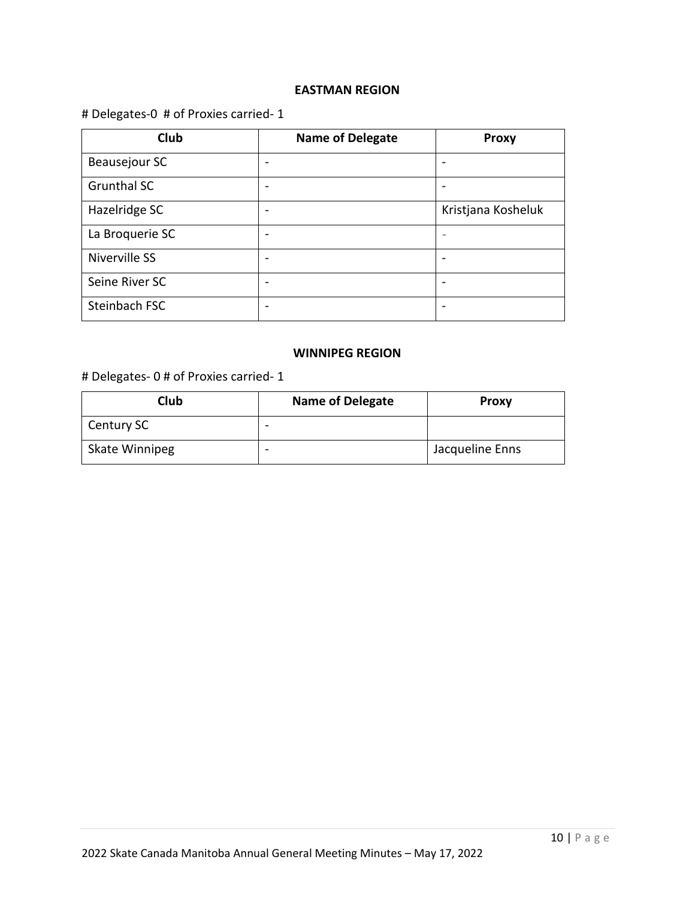#### **EASTMAN REGION**

# # Delegates-0 # of Proxies carried- 1

| Club               | <b>Name of Delegate</b>  | <b>Proxy</b>       |
|--------------------|--------------------------|--------------------|
| Beausejour SC      | -                        |                    |
| <b>Grunthal SC</b> | -                        |                    |
| Hazelridge SC      |                          | Kristjana Kosheluk |
| La Broquerie SC    |                          |                    |
| Niverville SS      | $\overline{\phantom{0}}$ |                    |
| Seine River SC     | $\overline{\phantom{0}}$ |                    |
| Steinbach FSC      | -                        |                    |

## **WINNIPEG REGION**

# # Delegates- 0 # of Proxies carried- 1

| Club           | <b>Name of Delegate</b> | <b>Proxy</b>    |
|----------------|-------------------------|-----------------|
| Century SC     |                         |                 |
| Skate Winnipeg |                         | Jacqueline Enns |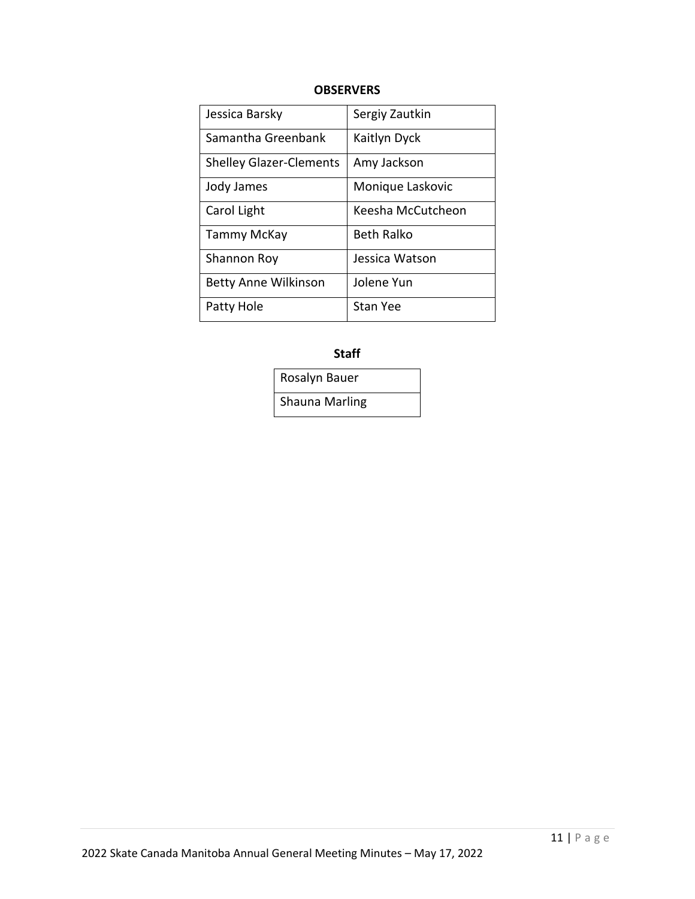### **OBSERVERS**

| Jessica Barsky                 | Sergiy Zautkin    |
|--------------------------------|-------------------|
| Samantha Greenbank             | Kaitlyn Dyck      |
| <b>Shelley Glazer-Clements</b> | Amy Jackson       |
| Jody James                     | Monique Laskovic  |
| Carol Light                    | Keesha McCutcheon |
| Tammy McKay                    | <b>Beth Ralko</b> |
| Shannon Roy                    | Jessica Watson    |
| <b>Betty Anne Wilkinson</b>    | Jolene Yun        |
| Patty Hole                     | <b>Stan Yee</b>   |

**Staff**

Rosalyn Bauer Shauna Marling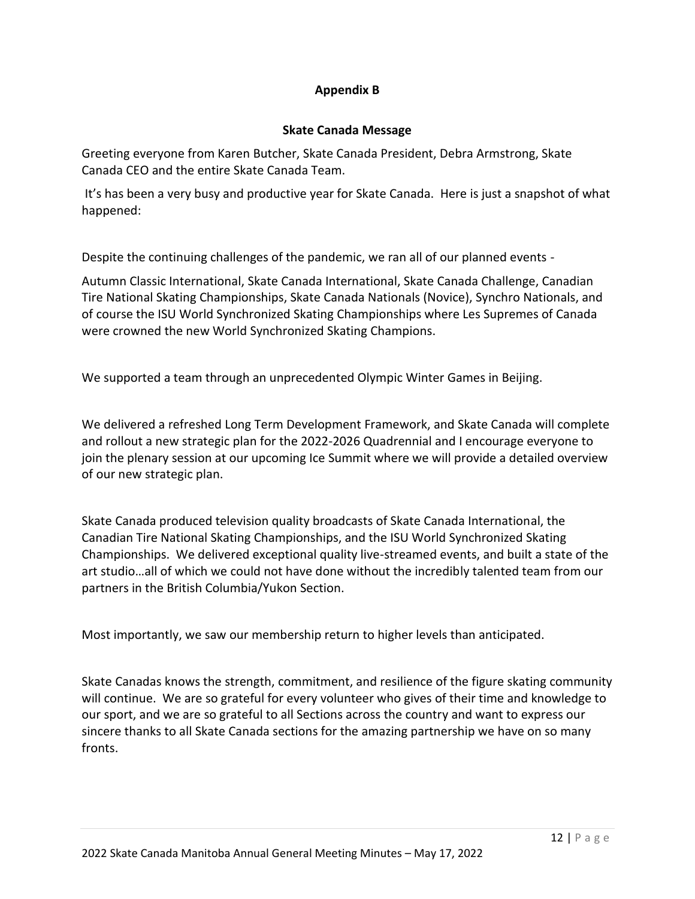## **Appendix B**

### **Skate Canada Message**

Greeting everyone from Karen Butcher, Skate Canada President, Debra Armstrong, Skate Canada CEO and the entire Skate Canada Team.

It's has been a very busy and productive year for Skate Canada. Here is just a snapshot of what happened:

Despite the continuing challenges of the pandemic, we ran all of our planned events -

Autumn Classic International, Skate Canada International, Skate Canada Challenge, Canadian Tire National Skating Championships, Skate Canada Nationals (Novice), Synchro Nationals, and of course the ISU World Synchronized Skating Championships where Les Supremes of Canada were crowned the new World Synchronized Skating Champions.

We supported a team through an unprecedented Olympic Winter Games in Beijing.

We delivered a refreshed Long Term Development Framework, and Skate Canada will complete and rollout a new strategic plan for the 2022-2026 Quadrennial and I encourage everyone to join the plenary session at our upcoming Ice Summit where we will provide a detailed overview of our new strategic plan.

Skate Canada produced television quality broadcasts of Skate Canada International, the Canadian Tire National Skating Championships, and the ISU World Synchronized Skating Championships. We delivered exceptional quality live-streamed events, and built a state of the art studio…all of which we could not have done without the incredibly talented team from our partners in the British Columbia/Yukon Section.

Most importantly, we saw our membership return to higher levels than anticipated.

Skate Canadas knows the strength, commitment, and resilience of the figure skating community will continue. We are so grateful for every volunteer who gives of their time and knowledge to our sport, and we are so grateful to all Sections across the country and want to express our sincere thanks to all Skate Canada sections for the amazing partnership we have on so many fronts.